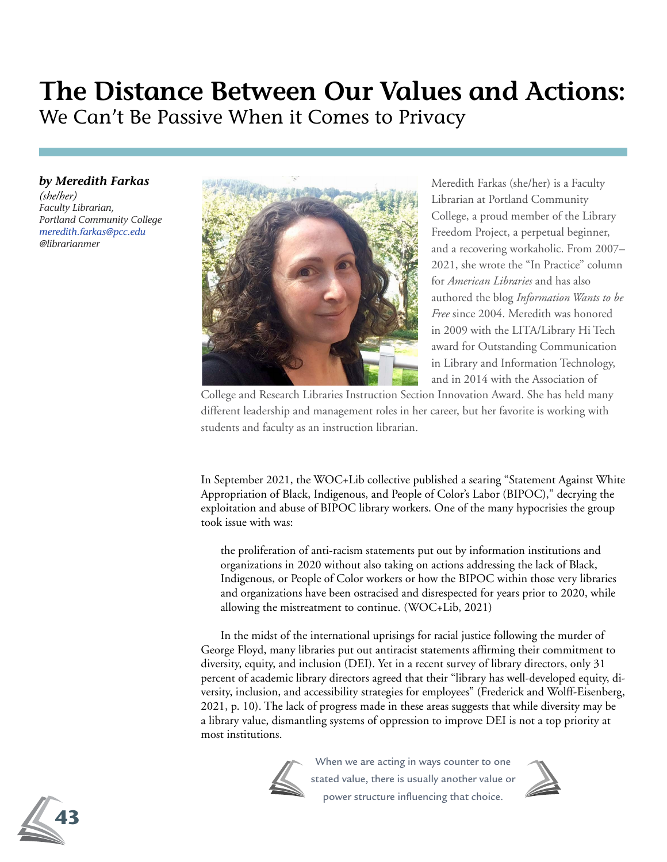# **The Distance Between Our Values and Actions:** We Can't Be Passive When it Comes to Privacy

## *by Meredith Farkas*

*(she/her) Faculty Librarian, Portland Community College meredith.farkas@pcc.edu @librarianmer*



Meredith Farkas (she/her) is a Faculty Librarian at Portland Community College, a proud member of the Library Freedom Project, a perpetual beginner, and a recovering workaholic. From 2007– 2021, she wrote the "In Practice" column for *American Libraries* and has also authored the blog *Information Wants to be Free* since 2004. Meredith was honored in 2009 with the LITA/Library Hi Tech award for Outstanding Communication in Library and Information Technology, and in 2014 with the Association of

College and Research Libraries Instruction Section Innovation Award. She has held many different leadership and management roles in her career, but her favorite is working with students and faculty as an instruction librarian.

In September 2021, the WOC+Lib collective published a searing "Statement Against White Appropriation of Black, Indigenous, and People of Color's Labor (BIPOC)," decrying the exploitation and abuse of BIPOC library workers. One of the many hypocrisies the group took issue with was:

the proliferation of anti-racism statements put out by information institutions and organizations in 2020 without also taking on actions addressing the lack of Black, Indigenous, or People of Color workers or how the BIPOC within those very libraries and organizations have been ostracised and disrespected for years prior to 2020, while allowing the mistreatment to continue. (WOC+Lib, 2021)

In the midst of the international uprisings for racial justice following the murder of George Floyd, many libraries put out antiracist statements affirming their commitment to diversity, equity, and inclusion (DEI). Yet in a recent survey of library directors, only 31 percent of academic library directors agreed that their "library has well-developed equity, diversity, inclusion, and accessibility strategies for employees" (Frederick and Wolff-Eisenberg, 2021, p. 10). The lack of progress made in these areas suggests that while diversity may be a library value, dismantling systems of oppression to improve DEI is not a top priority at most institutions.



When we are acting in ways counter to one stated value, there is usually another value or power structure influencing that choice.



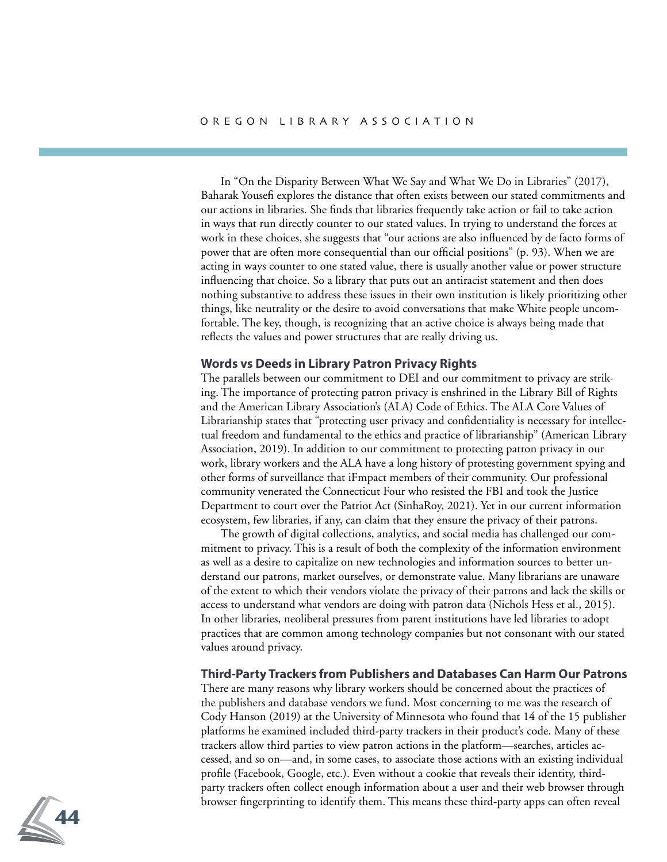In "On the Disparity Between What We Say and What We Do in Libraries" (2017), Baharak Yousefi explores the distance that often exists between our stated commitments and our actions in libraries. She finds that libraries frequently take action or fail to take action in ways that run directly counter to our stated values. In trying to understand the forces at work in these choices, she suggests that "our actions are also influenced by de facto forms of power that are often more consequential than our official positions" (p. 93). When we are acting in ways counter to one stated value, there is usually another value or power structure influencing that choice. So a library that puts out an antiracist statement and then does nothing substantive to address these issues in their own institution is likely prioritizing other things, like neutrality or the desire to avoid conversations that make White people uncomfortable. The key, though, is recognizing that an active choice is always being made that reflects the values and power structures that are really driving us.

#### **Words vs Deeds in Library Patron Privacy Rights**

The parallels between our commitment to DEI and our commitment to privacy are striking. The importance of protecting patron privacy is enshrined in the Library Bill of Rights and the American Library Association's (ALA) Code of Ethics. The ALA Core Values of Librarianship states that "protecting user privacy and confidentiality is necessary for intellectual freedom and fundamental to the ethics and practice of librarianship" (American Library Association, 2019). In addition to our commitment to protecting patron privacy in our work, library workers and the ALA have a long history of protesting government spying and other forms of surveillance that iFmpact members of their community. Our professional community venerated the Connecticut Four who resisted the FBI and took the Justice Department to court over the Patriot Act (SinhaRoy, 2021). Yet in our current information ecosystem, few libraries, if any, can claim that they ensure the privacy of their patrons.

The growth of digital collections, analytics, and social media has challenged our commitment to privacy. This is a result of both the complexity of the information environment as well as a desire to capitalize on new technologies and information sources to better understand our patrons, market ourselves, or demonstrate value. Many librarians are unaware of the extent to which their vendors violate the privacy of their patrons and lack the skills or access to understand what vendors are doing with patron data (Nichols Hess et al., 2015). In other libraries, neoliberal pressures from parent institutions have led libraries to adopt practices that are common among technology companies but not consonant with our stated values around privacy.

## **Third-Party Trackers from Publishers and Databases Can Harm Our Patrons**

There are many reasons why library workers should be concerned about the practices of the publishers and database vendors we fund. Most concerning to me was the research of Cody Hanson (2019) at the University of Minnesota who found that 14 of the 15 publisher platforms he examined included third-party trackers in their product's code. Many of these trackers allow third parties to view patron actions in the platform—searches, articles accessed, and so on—and, in some cases, to associate those actions with an existing individual profile (Facebook, Google, etc.). Even without a cookie that reveals their identity, thirdparty trackers often collect enough information about a user and their web browser through browser fingerprinting to identify them. This means these third-party apps can often reveal

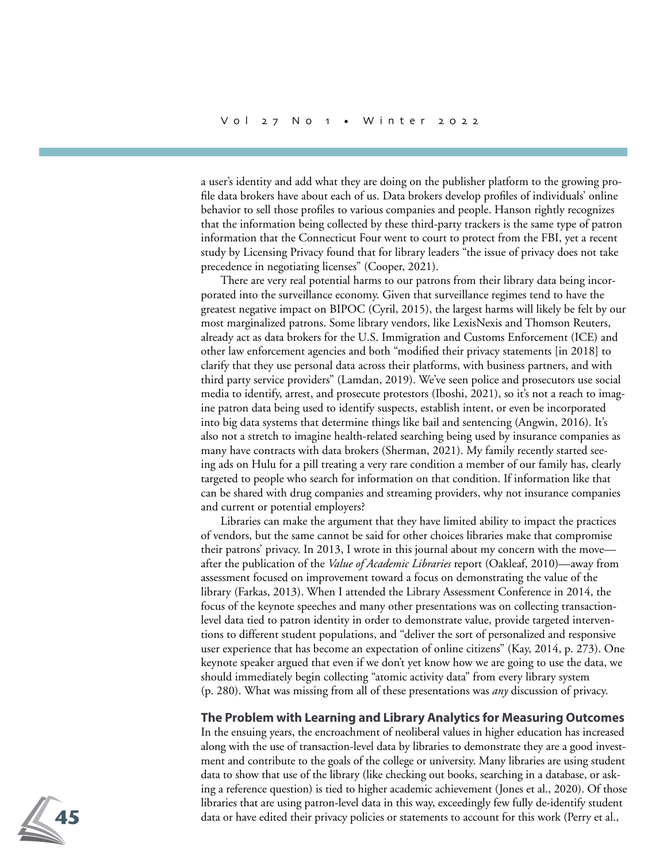a user's identity and add what they are doing on the publisher platform to the growing profile data brokers have about each of us. Data brokers develop profiles of individuals' online behavior to sell those profiles to various companies and people. Hanson rightly recognizes that the information being collected by these third-party trackers is the same type of patron information that the Connecticut Four went to court to protect from the FBI, yet a recent study by Licensing Privacy found that for library leaders "the issue of privacy does not take precedence in negotiating licenses" (Cooper, 2021).

There are very real potential harms to our patrons from their library data being incorporated into the surveillance economy. Given that surveillance regimes tend to have the greatest negative impact on BIPOC (Cyril, 2015), the largest harms will likely be felt by our most marginalized patrons. Some library vendors, like LexisNexis and Thomson Reuters, already act as data brokers for the U.S. Immigration and Customs Enforcement (ICE) and other law enforcement agencies and both "modified their privacy statements [in 2018] to clarify that they use personal data across their platforms, with business partners, and with third party service providers" (Lamdan, 2019). We've seen police and prosecutors use social media to identify, arrest, and prosecute protestors (Iboshi, 2021), so it's not a reach to imagine patron data being used to identify suspects, establish intent, or even be incorporated into big data systems that determine things like bail and sentencing (Angwin, 2016). It's also not a stretch to imagine health-related searching being used by insurance companies as many have contracts with data brokers (Sherman, 2021). My family recently started seeing ads on Hulu for a pill treating a very rare condition a member of our family has, clearly targeted to people who search for information on that condition. If information like that can be shared with drug companies and streaming providers, why not insurance companies and current or potential employers?

Libraries can make the argument that they have limited ability to impact the practices of vendors, but the same cannot be said for other choices libraries make that compromise their patrons' privacy. In 2013, I wrote in this journal about my concern with the move after the publication of the *Value of Academic Libraries* report (Oakleaf, 2010)—away from assessment focused on improvement toward a focus on demonstrating the value of the library (Farkas, 2013). When I attended the Library Assessment Conference in 2014, the focus of the keynote speeches and many other presentations was on collecting transactionlevel data tied to patron identity in order to demonstrate value, provide targeted interventions to different student populations, and "deliver the sort of personalized and responsive user experience that has become an expectation of online citizens" (Kay, 2014, p. 273). One keynote speaker argued that even if we don't yet know how we are going to use the data, we should immediately begin collecting "atomic activity data" from every library system (p. 280). What was missing from all of these presentations was *any* discussion of privacy.

## **The Problem with Learning and Library Analytics for Measuring Outcomes**

In the ensuing years, the encroachment of neoliberal values in higher education has increased along with the use of transaction-level data by libraries to demonstrate they are a good investment and contribute to the goals of the college or university. Many libraries are using student data to show that use of the library (like checking out books, searching in a database, or asking a reference question) is tied to higher academic achievement (Jones et al., 2020). Of those libraries that are using patron-level data in this way, exceedingly few fully de-identify student data or have edited their privacy policies or statements to account for this work (Perry et al.,

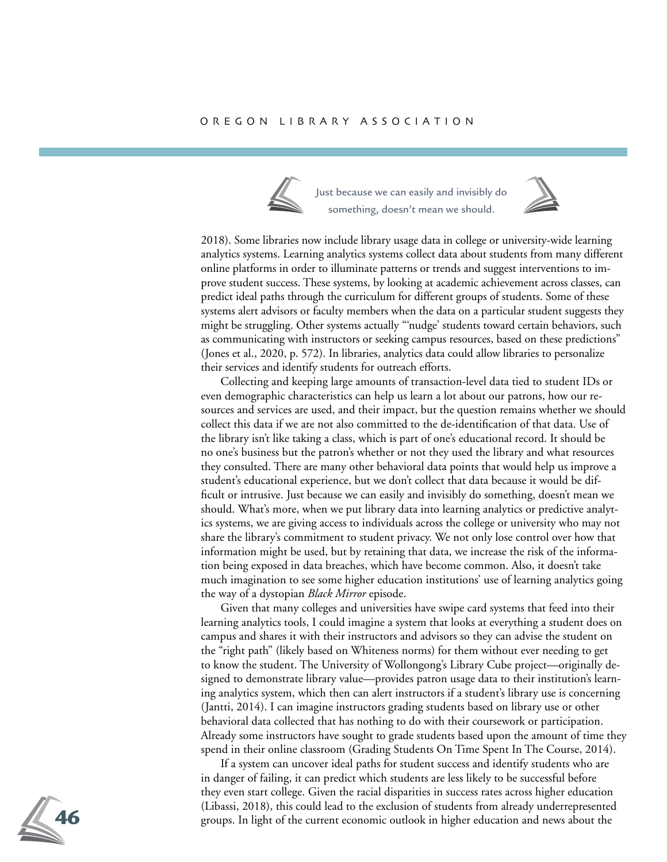

Just because we can easily and invisibly do something, doesn't mean we should.



2018). Some libraries now include library usage data in college or university-wide learning analytics systems. Learning analytics systems collect data about students from many different online platforms in order to illuminate patterns or trends and suggest interventions to improve student success. These systems, by looking at academic achievement across classes, can predict ideal paths through the curriculum for different groups of students. Some of these systems alert advisors or faculty members when the data on a particular student suggests they might be struggling. Other systems actually "'nudge' students toward certain behaviors, such as communicating with instructors or seeking campus resources, based on these predictions" (Jones et al., 2020, p. 572). In libraries, analytics data could allow libraries to personalize their services and identify students for outreach efforts.

Collecting and keeping large amounts of transaction-level data tied to student IDs or even demographic characteristics can help us learn a lot about our patrons, how our resources and services are used, and their impact, but the question remains whether we should collect this data if we are not also committed to the de-identification of that data. Use of the library isn't like taking a class, which is part of one's educational record. It should be no one's business but the patron's whether or not they used the library and what resources they consulted. There are many other behavioral data points that would help us improve a student's educational experience, but we don't collect that data because it would be difficult or intrusive. Just because we can easily and invisibly do something, doesn't mean we should. What's more, when we put library data into learning analytics or predictive analytics systems, we are giving access to individuals across the college or university who may not share the library's commitment to student privacy. We not only lose control over how that information might be used, but by retaining that data, we increase the risk of the information being exposed in data breaches, which have become common. Also, it doesn't take much imagination to see some higher education institutions' use of learning analytics going the way of a dystopian *Black Mirror* episode.

Given that many colleges and universities have swipe card systems that feed into their learning analytics tools, I could imagine a system that looks at everything a student does on campus and shares it with their instructors and advisors so they can advise the student on the "right path" (likely based on Whiteness norms) for them without ever needing to get to know the student. The University of Wollongong's Library Cube project—originally designed to demonstrate library value—provides patron usage data to their institution's learning analytics system, which then can alert instructors if a student's library use is concerning (Jantti, 2014). I can imagine instructors grading students based on library use or other behavioral data collected that has nothing to do with their coursework or participation. Already some instructors have sought to grade students based upon the amount of time they spend in their online classroom (Grading Students On Time Spent In The Course, 2014).

If a system can uncover ideal paths for student success and identify students who are in danger of failing, it can predict which students are less likely to be successful before they even start college. Given the racial disparities in success rates across higher education (Libassi, 2018), this could lead to the exclusion of students from already underrepresented groups. In light of the current economic outlook in higher education and news about the

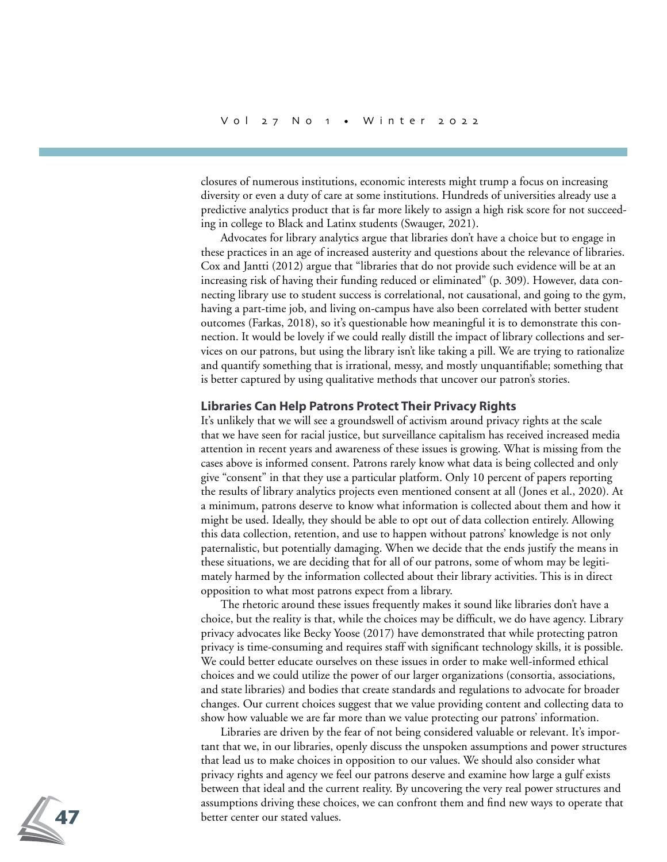closures of numerous institutions, economic interests might trump a focus on increasing diversity or even a duty of care at some institutions. Hundreds of universities already use a predictive analytics product that is far more likely to assign a high risk score for not succeeding in college to Black and Latinx students (Swauger, 2021).

Advocates for library analytics argue that libraries don't have a choice but to engage in these practices in an age of increased austerity and questions about the relevance of libraries. Cox and Jantti (2012) argue that "libraries that do not provide such evidence will be at an increasing risk of having their funding reduced or eliminated" (p. 309). However, data connecting library use to student success is correlational, not causational, and going to the gym, having a part-time job, and living on-campus have also been correlated with better student outcomes (Farkas, 2018), so it's questionable how meaningful it is to demonstrate this connection. It would be lovely if we could really distill the impact of library collections and services on our patrons, but using the library isn't like taking a pill. We are trying to rationalize and quantify something that is irrational, messy, and mostly unquantifiable; something that is better captured by using qualitative methods that uncover our patron's stories.

#### **Libraries Can Help Patrons Protect Their Privacy Rights**

It's unlikely that we will see a groundswell of activism around privacy rights at the scale that we have seen for racial justice, but surveillance capitalism has received increased media attention in recent years and awareness of these issues is growing. What is missing from the cases above is informed consent. Patrons rarely know what data is being collected and only give "consent" in that they use a particular platform. Only 10 percent of papers reporting the results of library analytics projects even mentioned consent at all (Jones et al., 2020). At a minimum, patrons deserve to know what information is collected about them and how it might be used. Ideally, they should be able to opt out of data collection entirely. Allowing this data collection, retention, and use to happen without patrons' knowledge is not only paternalistic, but potentially damaging. When we decide that the ends justify the means in these situations, we are deciding that for all of our patrons, some of whom may be legitimately harmed by the information collected about their library activities. This is in direct opposition to what most patrons expect from a library.

The rhetoric around these issues frequently makes it sound like libraries don't have a choice, but the reality is that, while the choices may be difficult, we do have agency. Library privacy advocates like Becky Yoose (2017) have demonstrated that while protecting patron privacy is time-consuming and requires staff with significant technology skills, it is possible. We could better educate ourselves on these issues in order to make well-informed ethical choices and we could utilize the power of our larger organizations (consortia, associations, and state libraries) and bodies that create standards and regulations to advocate for broader changes. Our current choices suggest that we value providing content and collecting data to show how valuable we are far more than we value protecting our patrons' information.

Libraries are driven by the fear of not being considered valuable or relevant. It's important that we, in our libraries, openly discuss the unspoken assumptions and power structures that lead us to make choices in opposition to our values. We should also consider what privacy rights and agency we feel our patrons deserve and examine how large a gulf exists between that ideal and the current reality. By uncovering the very real power structures and assumptions driving these choices, we can confront them and find new ways to operate that better center our stated values.

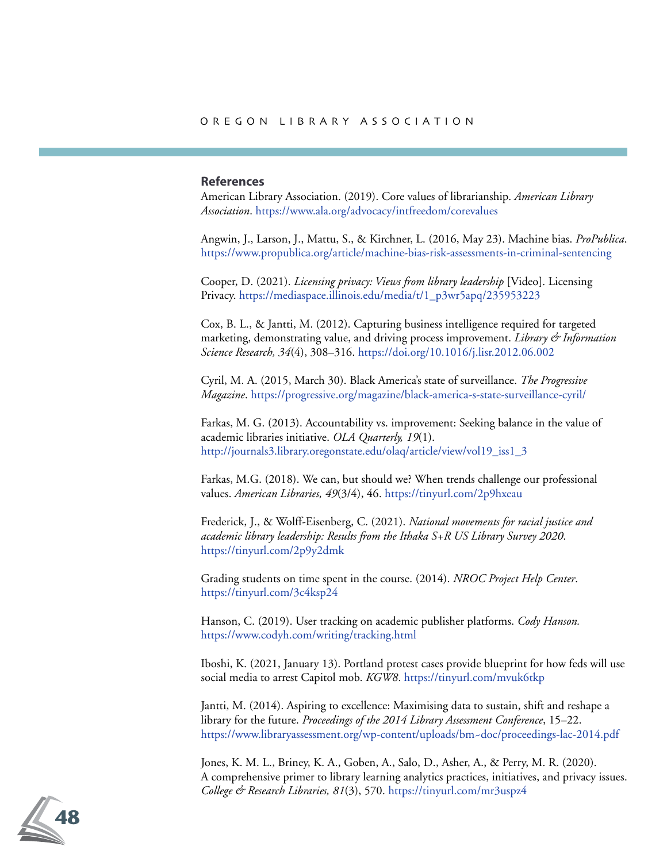## **References**

American Library Association. (2019). Core values of librarianship. *American Library Association*. https://www.ala.org/advocacy/intfreedom/corevalues

Angwin, J., Larson, J., Mattu, S., & Kirchner, L. (2016, May 23). Machine bias. *ProPublica*. https://www.propublica.org/article/machine-bias-risk-assessments-in-criminal-sentencing

Cooper, D. (2021). *Licensing privacy: Views from library leadership* [Video]. Licensing Privacy. https://mediaspace.illinois.edu/media/t/1\_p3wr5apq/235953223

Cox, B. L., & Jantti, M. (2012). Capturing business intelligence required for targeted marketing, demonstrating value, and driving process improvement. *Library & Information Science Research, 34*(4), 308–316. https://doi.org/10.1016/j.lisr.2012.06.002

Cyril, M. A. (2015, March 30). Black America's state of surveillance. *The Progressive Magazine*. https://progressive.org/magazine/black-america-s-state-surveillance-cyril/

Farkas, M. G. (2013). Accountability vs. improvement: Seeking balance in the value of academic libraries initiative. *OLA Quarterly, 19*(1). http://journals3.library.oregonstate.edu/olaq/article/view/vol19\_iss1\_3

Farkas, M.G. (2018). We can, but should we? When trends challenge our professional values. *American Libraries, 49*(3/4), 46. https://tinyurl.com/2p9hxeau

Frederick, J., & Wolff-Eisenberg, C. (2021). *National movements for racial justice and academic library leadership: Results from the Ithaka S+R US Library Survey 2020*. https://tinyurl.com/2p9y2dmk

Grading students on time spent in the course. (2014). *NROC Project Help Center*. https://tinyurl.com/3c4ksp24

Hanson, C. (2019). User tracking on academic publisher platforms. *Cody Hanson.*  https://www.codyh.com/writing/tracking.html

Iboshi, K. (2021, January 13). Portland protest cases provide blueprint for how feds will use social media to arrest Capitol mob. *KGW8*. https://tinyurl.com/mvuk6tkp

Jantti, M. (2014). Aspiring to excellence: Maximising data to sustain, shift and reshape a library for the future. *Proceedings of the 2014 Library Assessment Conference*, 15–22. https://www.libraryassessment.org/wp-content/uploads/bm~doc/proceedings-lac-2014.pdf

Jones, K. M. L., Briney, K. A., Goben, A., Salo, D., Asher, A., & Perry, M. R. (2020). A comprehensive primer to library learning analytics practices, initiatives, and privacy issues. *College & Research Libraries, 81*(3), 570. https://tinyurl.com/mr3uspz4